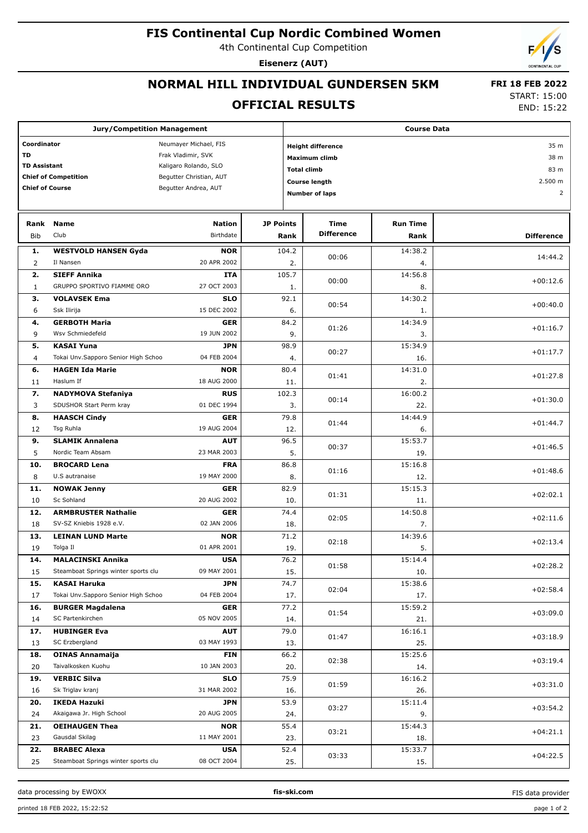# **FIS Continental Cup Nordic Combined Women**

4th Continental Cup Competition

**Eisenerz (AUT)**

## **NORMAL HILL INDIVIDUAL GUNDERSEN 5KM**

#### **OFFICIAL RESULTS**

 **FRI 18 FEB 2022** START: 15:00

END: 15:22

| <b>Jury/Competition Management</b>   |                                     |                           |                                     |              | <b>Course Data</b>       |                 |                   |  |  |  |
|--------------------------------------|-------------------------------------|---------------------------|-------------------------------------|--------------|--------------------------|-----------------|-------------------|--|--|--|
| Coordinator<br>Neumayer Michael, FIS |                                     |                           |                                     |              | <b>Height difference</b> | 35 m            |                   |  |  |  |
| TD                                   |                                     | Frak Vladimir, SVK        |                                     |              |                          |                 | 38 m              |  |  |  |
| <b>TD Assistant</b>                  |                                     | Kaligaro Rolando, SLO     | Maximum climb<br><b>Total climb</b> |              |                          | 83 m            |                   |  |  |  |
|                                      | <b>Chief of Competition</b>         | Begutter Christian, AUT   |                                     |              |                          |                 | 2.500 m           |  |  |  |
| <b>Chief of Course</b>               |                                     | Begutter Andrea, AUT      |                                     |              | <b>Course length</b>     |                 |                   |  |  |  |
|                                      |                                     |                           |                                     |              | <b>Number of laps</b>    |                 | $\overline{2}$    |  |  |  |
|                                      |                                     |                           |                                     |              |                          |                 |                   |  |  |  |
| Rank                                 | <b>Name</b>                         | <b>Nation</b>             | <b>JP Points</b>                    |              | Time                     | <b>Run Time</b> |                   |  |  |  |
| <b>Bib</b>                           | Club                                | Birthdate                 |                                     | Rank         | <b>Difference</b>        | Rank            | <b>Difference</b> |  |  |  |
| 1.                                   | <b>WESTVOLD HANSEN Gyda</b>         | <b>NOR</b>                |                                     | 104.2        |                          | 14:38.2         |                   |  |  |  |
| $\overline{2}$                       | Il Nansen                           | 20 APR 2002               |                                     | 2.           | 00:06                    | 4.              | 14:44.2           |  |  |  |
| 2.                                   | <b>SIEFF Annika</b>                 | <b>ITA</b>                |                                     | 105.7        | 00:00                    | 14:56.8         | $+00:12.6$        |  |  |  |
| $\mathbf{1}$                         | GRUPPO SPORTIVO FIAMME ORO          | 27 OCT 2003               |                                     | 1.           |                          | 8.              |                   |  |  |  |
| з.                                   | <b>VOLAVSEK Ema</b>                 | <b>SLO</b>                |                                     | 92.1         | 00:54                    | 14:30.2         | $+00:40.0$        |  |  |  |
| 6                                    | Ssk Ilirija                         | 15 DEC 2002               |                                     | 6.           |                          | 1.              |                   |  |  |  |
| 4.                                   | <b>GERBOTH Maria</b>                | <b>GER</b>                |                                     | 84.2         | 01:26                    | 14:34.9         | $+01:16.7$        |  |  |  |
| 9                                    | Wsv Schmiedefeld                    | 19 JUN 2002               |                                     | 9.           |                          | 3.              |                   |  |  |  |
| 5.                                   | <b>KASAI Yuna</b>                   | <b>JPN</b>                |                                     | 98.9         | 00:27                    | 15:34.9         | $+01:17.7$        |  |  |  |
| 4                                    | Tokai Unv.Sapporo Senior High Schoo | 04 FEB 2004               |                                     | 4.           |                          | 16.             |                   |  |  |  |
| 6.                                   | <b>HAGEN Ida Marie</b>              | <b>NOR</b>                |                                     | 80.4         | 01:41                    | 14:31.0         | $+01:27.8$        |  |  |  |
| 11                                   | Haslum If                           | 18 AUG 2000               |                                     | 11.          |                          | 2.              |                   |  |  |  |
| 7.                                   | <b>NADYMOVA Stefaniya</b>           | <b>RUS</b>                |                                     | 102.3        | 00:14                    | 16:00.2         | $+01:30.0$        |  |  |  |
| 3                                    | SDUSHOR Start Perm kray             | 01 DEC 1994               |                                     | 3.           |                          | 22.             |                   |  |  |  |
| 8.                                   | <b>HAASCH Cindy</b>                 | <b>GER</b>                |                                     | 79.8         | 01:44                    | 14:44.9         | $+01:44.7$        |  |  |  |
| 12                                   | Tsg Ruhla                           | 19 AUG 2004               |                                     | 12.          |                          | 6.              |                   |  |  |  |
| 9.                                   | <b>SLAMIK Annalena</b>              | <b>AUT</b>                |                                     | 96.5         | 00:37                    | 15:53.7         | $+01:46.5$        |  |  |  |
| 5                                    | Nordic Team Absam                   | 23 MAR 2003               |                                     | 5.           |                          | 19.             |                   |  |  |  |
| 10.                                  | <b>BROCARD Lena</b>                 | <b>FRA</b>                |                                     | 86.8         | 01:16                    | 15:16.8         | $+01:48.6$        |  |  |  |
| 8                                    | U.S autranaise                      | 19 MAY 2000               |                                     | 8.           |                          | 12.<br>15:15.3  |                   |  |  |  |
| 11.<br>10                            | <b>NOWAK Jenny</b><br>Sc Sohland    | <b>GER</b><br>20 AUG 2002 |                                     | 82.9<br>10.  | 01:31                    | 11.             | $+02:02.1$        |  |  |  |
| 12.                                  | <b>ARMBRUSTER Nathalie</b>          | <b>GER</b>                |                                     | 74.4         |                          | 14:50.8         |                   |  |  |  |
| 18                                   | SV-SZ Kniebis 1928 e.V.             | 02 JAN 2006               |                                     | 18.          | 02:05                    | 7.              | $+02:11.6$        |  |  |  |
| 13.                                  | <b>LEINAN LUND Marte</b>            | <b>NOR</b>                |                                     | 71.2         |                          | 14:39.6         |                   |  |  |  |
| 19                                   | Tolga Il                            | 01 APR 2001               |                                     | 19.          | 02:18                    | 5.              | $+02:13.4$        |  |  |  |
| 14.                                  | <b>MALACINSKI Annika</b>            | <b>USA</b>                |                                     | 76.2         |                          | 15:14.4         |                   |  |  |  |
| 15                                   | Steamboat Springs winter sports clu | 09 MAY 2001               |                                     | 15.          | 01:58                    | 10.             | $+02:28.2$        |  |  |  |
| 15.                                  | <b>KASAI Haruka</b>                 | <b>JPN</b>                |                                     | 74.7         |                          | 15:38.6         |                   |  |  |  |
| 17                                   | Tokai Unv.Sapporo Senior High Schoo | 04 FEB 2004               |                                     | 17.          | 02:04                    | 17.             | $+02:58.4$        |  |  |  |
| 16.                                  | <b>BURGER Magdalena</b>             | <b>GER</b>                |                                     | 77.2         |                          | 15:59.2         |                   |  |  |  |
| 14                                   | SC Partenkirchen                    | 05 NOV 2005               |                                     | 14.          | 01:54                    | 21.             | $+03:09.0$        |  |  |  |
| 17.                                  | <b>HUBINGER Eva</b>                 | <b>AUT</b>                |                                     | 79.0         |                          | 16:16.1         |                   |  |  |  |
| 13                                   | SC Erzbergland                      | 03 MAY 1993               |                                     | 01:47<br>13. |                          | 25.             | $+03:18.9$        |  |  |  |
| 18.                                  | <b>OINAS Annamaija</b>              | <b>FIN</b>                |                                     | 66.2         |                          | 15:25.6         | $+03:19.4$        |  |  |  |
| 20                                   | Taivalkosken Kuohu                  | 10 JAN 2003               |                                     | 02:38<br>20. |                          | 14.             |                   |  |  |  |
| 19.                                  | <b>VERBIC Silva</b>                 | <b>SLO</b>                |                                     | 75.9         | 01:59                    | 16:16.2         | $+03:31.0$        |  |  |  |
| 16                                   | Sk Triglav kranj                    | 31 MAR 2002               |                                     | 16.          |                          | 26.             |                   |  |  |  |
| 20.                                  | <b>IKEDA Hazuki</b>                 | <b>JPN</b>                |                                     | 53.9         | 03:27                    | 15:11.4         | $+03:54.2$        |  |  |  |
| 24                                   | Akaigawa Jr. High School            | 20 AUG 2005               |                                     | 24.          |                          | 9.              |                   |  |  |  |
| 21.                                  | <b>OEIHAUGEN Thea</b>               | <b>NOR</b>                |                                     | 55.4         | 03:21                    | 15:44.3         | $+04:21.1$        |  |  |  |
| 23                                   | Gausdal Skilag                      | 11 MAY 2001               |                                     | 23.          |                          | 18.             |                   |  |  |  |
| 22.                                  | <b>BRABEC Alexa</b>                 | <b>USA</b>                |                                     | 52.4         | 03:33                    | 15:33.7         | $+04:22.5$        |  |  |  |
| 25                                   | Steamboat Springs winter sports clu | 08 OCT 2004               |                                     | 25.          |                          | 15.             |                   |  |  |  |

data processing by EWOXX **fis-ski.com**

FIS data provider